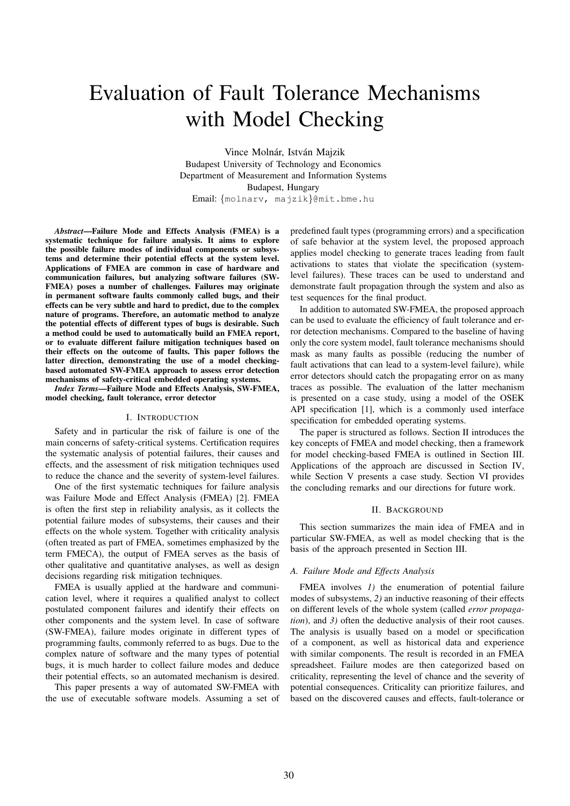# Evaluation of Fault Tolerance Mechanisms with Model Checking

Vince Molnár, István Majzik Budapest University of Technology and Economics Department of Measurement and Information Systems Budapest, Hungary Email: {molnarv, majzik}@mit.bme.hu

*Abstract*—Failure Mode and Effects Analysis (FMEA) is a systematic technique for failure analysis. It aims to explore the possible failure modes of individual components or subsystems and determine their potential effects at the system level. Applications of FMEA are common in case of hardware and communication failures, but analyzing software failures (SW-FMEA) poses a number of challenges. Failures may originate in permanent software faults commonly called bugs, and their effects can be very subtle and hard to predict, due to the complex nature of programs. Therefore, an automatic method to analyze the potential effects of different types of bugs is desirable. Such a method could be used to automatically build an FMEA report, or to evaluate different failure mitigation techniques based on their effects on the outcome of faults. This paper follows the latter direction, demonstrating the use of a model checkingbased automated SW-FMEA approach to assess error detection mechanisms of safety-critical embedded operating systems.

*Index Terms*—Failure Mode and Effects Analysis, SW-FMEA, model checking, fault tolerance, error detector

## I. INTRODUCTION

Safety and in particular the risk of failure is one of the main concerns of safety-critical systems. Certification requires the systematic analysis of potential failures, their causes and effects, and the assessment of risk mitigation techniques used to reduce the chance and the severity of system-level failures.

One of the first systematic techniques for failure analysis was Failure Mode and Effect Analysis (FMEA) [2]. FMEA is often the first step in reliability analysis, as it collects the potential failure modes of subsystems, their causes and their effects on the whole system. Together with criticality analysis (often treated as part of FMEA, sometimes emphasized by the term FMECA), the output of FMEA serves as the basis of other qualitative and quantitative analyses, as well as design decisions regarding risk mitigation techniques.

FMEA is usually applied at the hardware and communication level, where it requires a qualified analyst to collect postulated component failures and identify their effects on other components and the system level. In case of software (SW-FMEA), failure modes originate in different types of programming faults, commonly referred to as bugs. Due to the complex nature of software and the many types of potential bugs, it is much harder to collect failure modes and deduce their potential effects, so an automated mechanism is desired.

This paper presents a way of automated SW-FMEA with the use of executable software models. Assuming a set of predefined fault types (programming errors) and a specification of safe behavior at the system level, the proposed approach applies model checking to generate traces leading from fault activations to states that violate the specification (systemlevel failures). These traces can be used to understand and demonstrate fault propagation through the system and also as test sequences for the final product.

In addition to automated SW-FMEA, the proposed approach can be used to evaluate the efficiency of fault tolerance and error detection mechanisms. Compared to the baseline of having only the core system model, fault tolerance mechanisms should mask as many faults as possible (reducing the number of fault activations that can lead to a system-level failure), while error detectors should catch the propagating error on as many traces as possible. The evaluation of the latter mechanism is presented on a case study, using a model of the OSEK API specification [1], which is a commonly used interface specification for embedded operating systems.

The paper is structured as follows. Section II introduces the key concepts of FMEA and model checking, then a framework for model checking-based FMEA is outlined in Section III. Applications of the approach are discussed in Section IV, while Section V presents a case study. Section VI provides the concluding remarks and our directions for future work.

#### II. BACKGROUND

This section summarizes the main idea of FMEA and in particular SW-FMEA, as well as model checking that is the basis of the approach presented in Section III.

# *A. Failure Mode and Effects Analysis*

FMEA involves *1)* the enumeration of potential failure modes of subsystems, *2)* an inductive reasoning of their effects on different levels of the whole system (called *error propagation*), and *3)* often the deductive analysis of their root causes. The analysis is usually based on a model or specification of a component, as well as historical data and experience with similar components. The result is recorded in an FMEA spreadsheet. Failure modes are then categorized based on criticality, representing the level of chance and the severity of potential consequences. Criticality can prioritize failures, and based on the discovered causes and effects, fault-tolerance or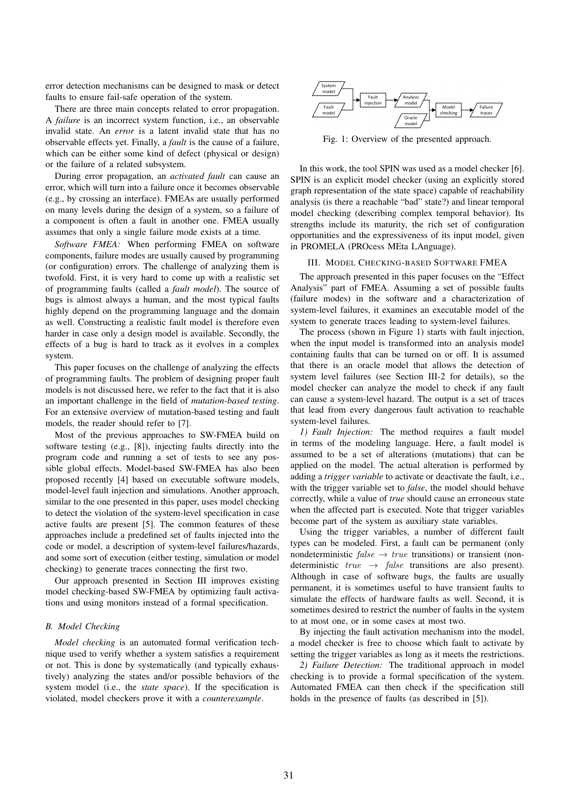error detection mechanisms can be designed to mask or detect faults to ensure fail-safe operation of the system.

There are three main concepts related to error propagation. A *failure* is an incorrect system function, i.e., an observable invalid state. An *error* is a latent invalid state that has no observable effects yet. Finally, a *fault* is the cause of a failure, which can be either some kind of defect (physical or design) or the failure of a related subsystem.

During error propagation, an *activated fault* can cause an error, which will turn into a failure once it becomes observable (e.g., by crossing an interface). FMEAs are usually performed on many levels during the design of a system, so a failure of a component is often a fault in another one. FMEA usually assumes that only a single failure mode exists at a time.

*Software FMEA:* When performing FMEA on software components, failure modes are usually caused by programming (or configuration) errors. The challenge of analyzing them is twofold. First, it is very hard to come up with a realistic set of programming faults (called a *fault model*). The source of bugs is almost always a human, and the most typical faults highly depend on the programming language and the domain as well. Constructing a realistic fault model is therefore even harder in case only a design model is available. Secondly, the effects of a bug is hard to track as it evolves in a complex system.

This paper focuses on the challenge of analyzing the effects of programming faults. The problem of designing proper fault models is not discussed here, we refer to the fact that it is also an important challenge in the field of *mutation-based testing*. For an extensive overview of mutation-based testing and fault models, the reader should refer to [7].

Most of the previous approaches to SW-FMEA build on software testing (e.g., [8]), injecting faults directly into the program code and running a set of tests to see any possible global effects. Model-based SW-FMEA has also been proposed recently [4] based on executable software models, model-level fault injection and simulations. Another approach, similar to the one presented in this paper, uses model checking to detect the violation of the system-level specification in case active faults are present [5]. The common features of these approaches include a predefined set of faults injected into the code or model, a description of system-level failures/hazards, and some sort of execution (either testing, simulation or model checking) to generate traces connecting the first two.

Our approach presented in Section III improves existing model checking-based SW-FMEA by optimizing fault activations and using monitors instead of a formal specification.

# *B. Model Checking*

*Model checking* is an automated formal verification technique used to verify whether a system satisfies a requirement or not. This is done by systematically (and typically exhaustively) analyzing the states and/or possible behaviors of the system model (i.e., the *state space*). If the specification is violated, model checkers prove it with a *counterexample*.



Fig. 1: Overview of the presented approach.

In this work, the tool SPIN was used as a model checker [6]. SPIN is an explicit model checker (using an explicitly stored graph representation of the state space) capable of reachability analysis (is there a reachable "bad" state?) and linear temporal model checking (describing complex temporal behavior). Its strengths include its maturity, the rich set of configuration opportunities and the expressiveness of its input model, given in PROMELA (PROcess MEta LAnguage).

#### III. MODEL CHECKING-BASED SOFTWARE FMEA

The approach presented in this paper focuses on the "Effect Analysis" part of FMEA. Assuming a set of possible faults (failure modes) in the software and a characterization of system-level failures, it examines an executable model of the system to generate traces leading to system-level failures.

The process (shown in Figure 1) starts with fault injection, when the input model is transformed into an analysis model containing faults that can be turned on or off. It is assumed that there is an oracle model that allows the detection of system level failures (see Section III-2 for details), so the model checker can analyze the model to check if any fault can cause a system-level hazard. The output is a set of traces that lead from every dangerous fault activation to reachable system-level failures.

*1) Fault Injection:* The method requires a fault model in terms of the modeling language. Here, a fault model is assumed to be a set of alterations (mutations) that can be applied on the model. The actual alteration is performed by adding a *trigger variable* to activate or deactivate the fault, i.e., with the trigger variable set to *false*, the model should behave correctly, while a value of *true* should cause an erroneous state when the affected part is executed. Note that trigger variables become part of the system as auxiliary state variables.

Using the trigger variables, a number of different fault types can be modeled. First, a fault can be permanent (only nondeterministic  $false \rightarrow true$  transitions) or transient (nondeterministic  $true \rightarrow false$  transitions are also present). Although in case of software bugs, the faults are usually permanent, it is sometimes useful to have transient faults to simulate the effects of hardware faults as well. Second, it is sometimes desired to restrict the number of faults in the system to at most one, or in some cases at most two.

By injecting the fault activation mechanism into the model, a model checker is free to choose which fault to activate by setting the trigger variables as long as it meets the restrictions.

*2) Failure Detection:* The traditional approach in model checking is to provide a formal specification of the system. Automated FMEA can then check if the specification still holds in the presence of faults (as described in [5]).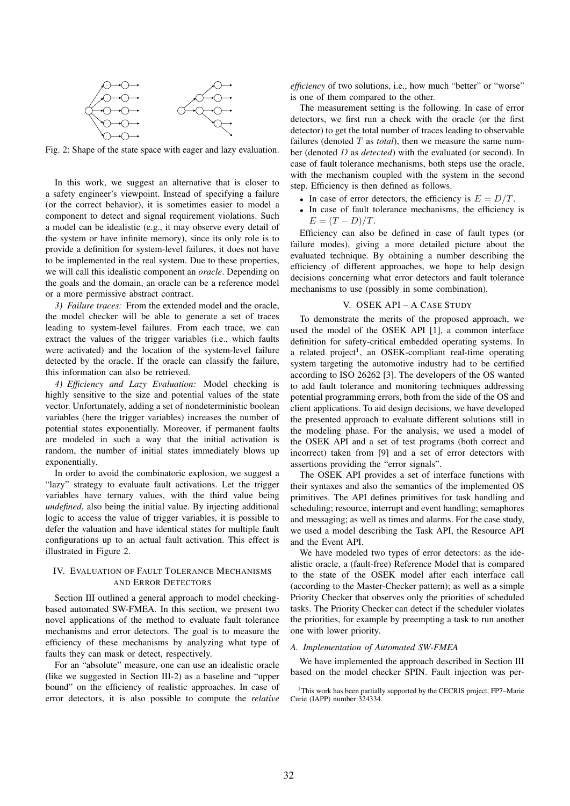

Fig. 2: Shape of the state space with eager and lazy evaluation.

In this work, we suggest an alternative that is closer to a safety engineer's viewpoint. Instead of specifying a failure (or the correct behavior), it is sometimes easier to model a component to detect and signal requirement violations. Such a model can be idealistic (e.g., it may observe every detail of the system or have infinite memory), since its only role is to provide a definition for system-level failures, it does not have to be implemented in the real system. Due to these properties, we will call this idealistic component an *oracle*. Depending on the goals and the domain, an oracle can be a reference model or a more permissive abstract contract.

*3) Failure traces:* From the extended model and the oracle, the model checker will be able to generate a set of traces leading to system-level failures. From each trace, we can extract the values of the trigger variables (i.e., which faults were activated) and the location of the system-level failure detected by the oracle. If the oracle can classify the failure, this information can also be retrieved.

*4) Efficiency and Lazy Evaluation:* Model checking is highly sensitive to the size and potential values of the state vector. Unfortunately, adding a set of nondeterministic boolean variables (here the trigger variables) increases the number of potential states exponentially. Moreover, if permanent faults are modeled in such a way that the initial activation is random, the number of initial states immediately blows up exponentially.

In order to avoid the combinatoric explosion, we suggest a "lazy" strategy to evaluate fault activations. Let the trigger variables have ternary values, with the third value being *undefined*, also being the initial value. By injecting additional logic to access the value of trigger variables, it is possible to defer the valuation and have identical states for multiple fault configurations up to an actual fault activation. This effect is illustrated in Figure 2.

# IV. EVALUATION OF FAULT TOLERANCE MECHANISMS AND ERROR DETECTORS

Section III outlined a general approach to model checkingbased automated SW-FMEA. In this section, we present two novel applications of the method to evaluate fault tolerance mechanisms and error detectors. The goal is to measure the efficiency of these mechanisms by analyzing what type of faults they can mask or detect, respectively.

For an "absolute" measure, one can use an idealistic oracle (like we suggested in Section III-2) as a baseline and "upper bound" on the efficiency of realistic approaches. In case of error detectors, it is also possible to compute the *relative* *efficiency* of two solutions, i.e., how much "better" or "worse" is one of them compared to the other.

The measurement setting is the following. In case of error detectors, we first run a check with the oracle (or the first detector) to get the total number of traces leading to observable failures (denoted  $T$  as *total*), then we measure the same number (denoted D as *detected*) with the evaluated (or second). In case of fault tolerance mechanisms, both steps use the oracle, with the mechanism coupled with the system in the second step. Efficiency is then defined as follows.

- In case of error detectors, the efficiency is  $E = D/T$ .
- In case of fault tolerance mechanisms, the efficiency is  $E = (T - D)/T$ .

Efficiency can also be defined in case of fault types (or failure modes), giving a more detailed picture about the evaluated technique. By obtaining a number describing the efficiency of different approaches, we hope to help design decisions concerning what error detectors and fault tolerance mechanisms to use (possibly in some combination).

## V. OSEK API – A CASE STUDY

To demonstrate the merits of the proposed approach, we used the model of the OSEK API [1], a common interface definition for safety-critical embedded operating systems. In a related project<sup>1</sup>, an OSEK-compliant real-time operating system targeting the automotive industry had to be certified according to ISO 26262 [3]. The developers of the OS wanted to add fault tolerance and monitoring techniques addressing potential programming errors, both from the side of the OS and client applications. To aid design decisions, we have developed the presented approach to evaluate different solutions still in the modeling phase. For the analysis, we used a model of the OSEK API and a set of test programs (both correct and incorrect) taken from [9] and a set of error detectors with assertions providing the "error signals".

The OSEK API provides a set of interface functions with their syntaxes and also the semantics of the implemented OS primitives. The API defines primitives for task handling and scheduling; resource, interrupt and event handling; semaphores and messaging; as well as times and alarms. For the case study, we used a model describing the Task API, the Resource API and the Event API.

We have modeled two types of error detectors: as the idealistic oracle, a (fault-free) Reference Model that is compared to the state of the OSEK model after each interface call (according to the Master-Checker pattern); as well as a simple Priority Checker that observes only the priorities of scheduled tasks. The Priority Checker can detect if the scheduler violates the priorities, for example by preempting a task to run another one with lower priority.

## *A. Implementation of Automated SW-FMEA*

We have implemented the approach described in Section III based on the model checker SPIN. Fault injection was per-

<sup>&</sup>lt;sup>1</sup>This work has been partially supported by the CECRIS project, FP7–Marie Curie (IAPP) number 324334.